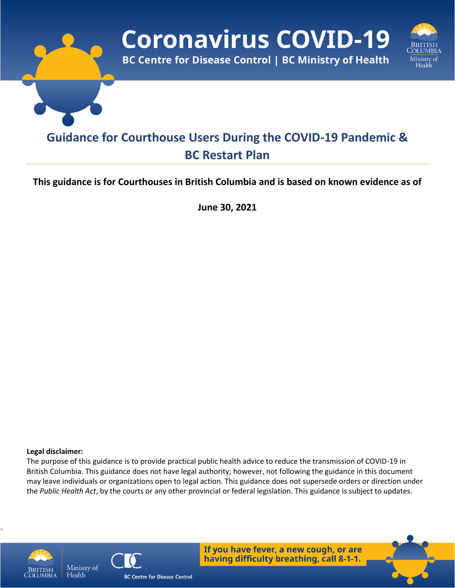

### **This guidance is for Courthouses in British Columbia and is based on known evidence as of**

**June 30, 2021**

#### **Legal disclaimer:**

The purpose of this guidance is to provide practical public health advice to reduce the transmission of COVID-19 in British Columbia. This guidance does not have legal authority; however, not following the guidance in this document may leave individuals or organizations open to legal action. This guidance does not supersede orders or direction under the *Public Health Act*, by the courts or any other provincial or federal legislation. This guidance is subject to updates.



-



If you have fever, a new cough, or are having difficulty breathing, call 8-1-1.

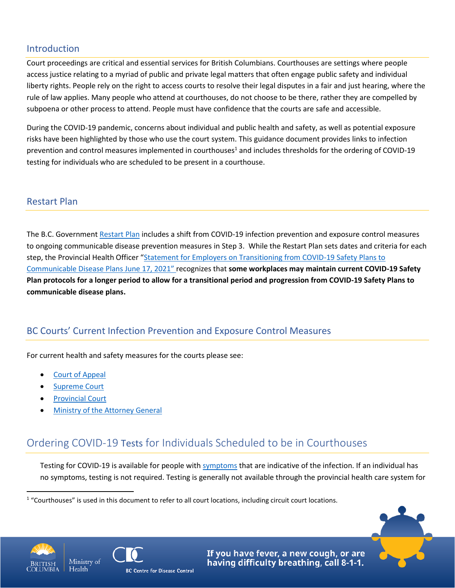## Introduction

Court proceedings are critical and essential services for British Columbians. Courthouses are settings where people access justice relating to a myriad of public and private legal matters that often engage public safety and individual liberty rights. People rely on the right to access courts to resolve their legal disputes in a fair and just hearing, where the rule of law applies. Many people who attend at courthouses, do not choose to be there, rather they are compelled by subpoena or other process to attend. People must have confidence that the courts are safe and accessible.

During the COVID-19 pandemic, concerns about individual and public health and safety, as well as potential exposure risks have been highlighted by those who use the court system. This guidance document provides links to infection prevention and control measures implemented in courthouses<sup>1</sup> and includes thresholds for the ordering of COVID-19 testing for individuals who are scheduled to be present in a courthouse.

## Restart Plan

The B.C. Government [Restart Plan](https://www2.gov.bc.ca/gov/content/covid-19/info/restart) includes a shift from COVID-19 infection prevention and exposure control measures to ongoing communicable disease prevention measures in Step 3. While the Restart Plan sets dates and criteria for each step, the Provincial Health Officer "Statement for Employers on Transitioning from COVID-19 Safety Plans to [Communicable Disease Plans June 17, 2021](https://www2.gov.bc.ca/assets/gov/health/about-bc-s-health-care-system/office-of-the-provincial-health-officer/covid-19/covid-19-pho-letter-communicable-disease-plans.pdf)" recognizes that **some workplaces may maintain current COVID-19 Safety Plan protocols for a longer period to allow for a transitional period and progression from COVID-19 Safety Plans to communicable disease plans.**

## BC Courts' Current Infection Prevention and Exposure Control Measures

For current health and safety measures for the courts please see:

- [Court of Appeal](https://www.bccourts.ca/Court_of_Appeal/overview_modified_court_procedures_due_to_covid-19.aspx)
- [Supreme Court](https://www.bccourts.ca/supreme_court/)
- **[Provincial Court](https://www.provincialcourt.bc.ca/COVID19)**
- [Ministry of the Attorney General](https://www2.gov.bc.ca/gov/content/justice/covid-19)

# Ordering COVID-19 Tests for Individuals Scheduled to be in Courthouses

Testing for COVID-19 is available for people wit[h symptoms](http://www.bccdc.ca/health-info/diseases-conditions/covid-19/testing) that are indicative of the infection. If an individual has no symptoms, testing is not required. Testing is generally not available through the provincial health care system for





If you have fever, a new cough, or are having difficulty breathing, call 8-1-1.



<sup>&</sup>lt;sup>1</sup> "Courthouses" is used in this document to refer to all court locations, including circuit court locations.